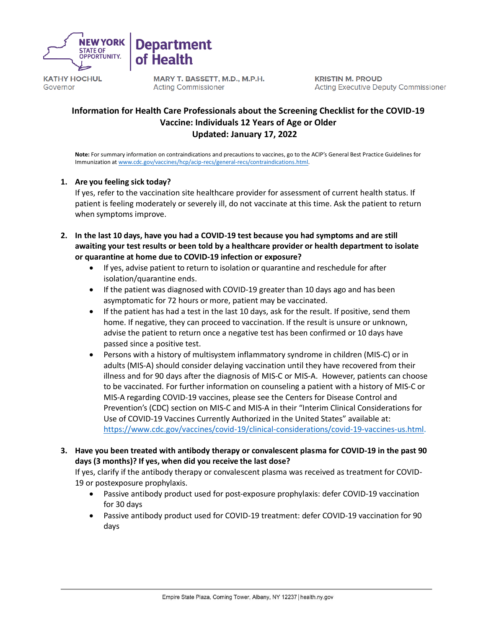

Governor

MARY T. BASSETT, M.D., M.P.H. **Acting Commissioner** 

**Department** 

of Health

**KRISTIN M. PROUD Acting Executive Deputy Commissioner** 

# **Information for Health Care Professionals about the Screening Checklist for the COVID-19 Vaccine: Individuals 12 Years of Age or Older Updated: January 17, 2022**

**Note:** For summary information on contraindications and precautions to vaccines, go to the ACIP's General Best Practice Guidelines for Immunization at [www.cdc.gov/vaccines/hcp/acip-recs/general-recs/contraindications.html.](http://www.cdc.gov/vaccines/hcp/acip-recs/general-recs/contraindications.html)

### **1. Are you feeling sick today?**

If yes, refer to the vaccination site healthcare provider for assessment of current health status. If patient is feeling moderately or severely ill, do not vaccinate at this time. Ask the patient to return when symptoms improve.

- **2. In the last 10 days, have you had a COVID-19 test because you had symptoms and are still awaiting your test results or been told by a healthcare provider or health department to isolate or quarantine at home due to COVID-19 infection or exposure?**
	- If yes, advise patient to return to isolation or quarantine and reschedule for after isolation/quarantine ends.
	- If the patient was diagnosed with COVID-19 greater than 10 days ago and has been asymptomatic for 72 hours or more, patient may be vaccinated.
	- If the patient has had a test in the last 10 days, ask for the result. If positive, send them home. If negative, they can proceed to vaccination. If the result is unsure or unknown, advise the patient to return once a negative test has been confirmed or 10 days have passed since a positive test.
	- Persons with a history of multisystem inflammatory syndrome in children (MIS-C) or in adults (MIS-A) should consider delaying vaccination until they have recovered from their illness and for 90 days after the diagnosis of MIS-C or MIS-A. However, patients can choose to be vaccinated. For further information on counseling a patient with a history of MIS-C or MIS-A regarding COVID-19 vaccines, please see the Centers for Disease Control and Prevention's (CDC) section on MIS-C and MIS-A in their "Interim Clinical Considerations for Use of COVID-19 Vaccines Currently Authorized in the United States" available at: [https://www.cdc.gov/vaccines/covid-19/clinical-considerations/covid-19-vaccines-us.html.](https://www.cdc.gov/vaccines/covid-19/clinical-considerations/covid-19-vaccines-us.html)
- **3. Have you been treated with antibody therapy or convalescent plasma for COVID-19 in the past 90 days (3 months)? If yes, when did you receive the last dose?**

If yes, clarify if the antibody therapy or convalescent plasma was received as treatment for COVID-19 or postexposure prophylaxis.

- Passive antibody product used for post-exposure prophylaxis: defer COVID-19 vaccination for 30 days
- Passive antibody product used for COVID-19 treatment: defer COVID-19 vaccination for 90 days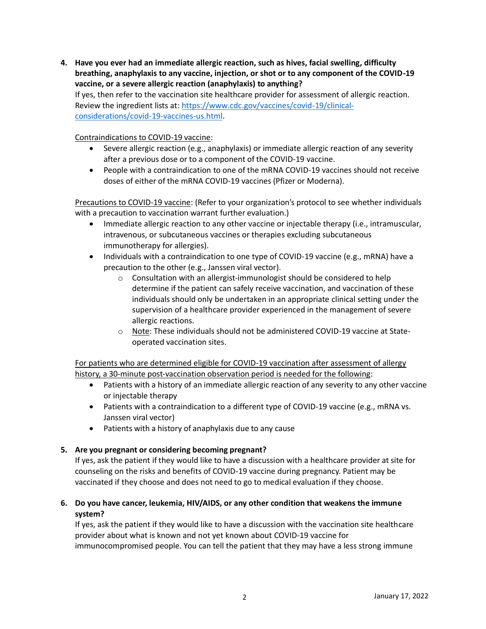**4. Have you ever had an immediate allergic reaction, such as hives, facial swelling, difficulty breathing, anaphylaxis to any vaccine, injection, or shot or to any component of the COVID-19 vaccine, or a severe allergic reaction (anaphylaxis) to anything?** If yes, then refer to the vaccination site healthcare provider for assessment of allergic reaction. Review the ingredient lists at: [https://www.cdc.gov/vaccines/covid-19/clinical](https://www.cdc.gov/vaccines/covid-19/clinical-considerations/covid-19-vaccines-us.html)[considerations/covid-19-vaccines-us.html.](https://www.cdc.gov/vaccines/covid-19/clinical-considerations/covid-19-vaccines-us.html)

Contraindications to COVID-19 vaccine:

- Severe allergic reaction (e.g., anaphylaxis) or immediate allergic reaction of any severity after a previous dose or to a component of the COVID-19 vaccine.
- People with a contraindication to one of the mRNA COVID-19 vaccines should not receive doses of either of the mRNA COVID-19 vaccines (Pfizer or Moderna).

Precautions to COVID-19 vaccine: (Refer to your organization's protocol to see whether individuals with a precaution to vaccination warrant further evaluation.)

- Immediate allergic reaction to any other vaccine or injectable therapy (i.e., intramuscular, intravenous, or subcutaneous vaccines or therapies excluding subcutaneous immunotherapy for allergies).
- Individuals with a contraindication to one type of COVID-19 vaccine (e.g., mRNA) have a precaution to the other (e.g., Janssen viral vector).
	- o Consultation with an allergist-immunologist should be considered to help determine if the patient can safely receive vaccination, and vaccination of these individuals should only be undertaken in an appropriate clinical setting under the supervision of a healthcare provider experienced in the management of severe allergic reactions.
	- o Note: These individuals should not be administered COVID-19 vaccine at Stateoperated vaccination sites.

For patients who are determined eligible for COVID-19 vaccination after assessment of allergy history, a 30-minute post-vaccination observation period is needed for the following:

- Patients with a history of an immediate allergic reaction of any severity to any other vaccine or injectable therapy
- Patients with a contraindication to a different type of COVID-19 vaccine (e.g., mRNA vs. Janssen viral vector)
- Patients with a history of anaphylaxis due to any cause

### **5. Are you pregnant or considering becoming pregnant?**

If yes, ask the patient if they would like to have a discussion with a healthcare provider at site for counseling on the risks and benefits of COVID-19 vaccine during pregnancy. Patient may be vaccinated if they choose and does not need to go to medical evaluation if they choose.

**6. Do you have cancer, leukemia, HIV/AIDS, or any other condition that weakens the immune system?**

If yes, ask the patient if they would like to have a discussion with the vaccination site healthcare provider about what is known and not yet known about COVID-19 vaccine for immunocompromised people. You can tell the patient that they may have a less strong immune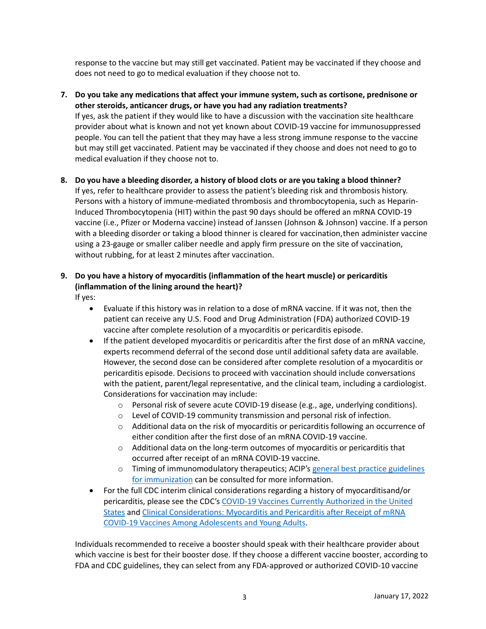response to the vaccine but may still get vaccinated. Patient may be vaccinated if they choose and does not need to go to medical evaluation if they choose not to.

**7. Do you take any medications that affect your immune system, such as cortisone, prednisone or other steroids, anticancer drugs, or have you had any radiation treatments?** If yes, ask the patient if they would like to have a discussion with the vaccination site healthcare provider about what is known and not yet known about COVID-19 vaccine for immunosuppressed people. You can tell the patient that they may have a less strong immune response to the vaccine but may still get vaccinated. Patient may be vaccinated if they choose and does not need to go to medical evaluation if they choose not to.

# **8. Do you have a bleeding disorder, a history of blood clots or are you taking a blood thinner?**

If yes, refer to healthcare provider to assess the patient's bleeding risk and thrombosis history. Persons with a history of immune-mediated thrombosis and thrombocytopenia, such as Heparin-Induced Thrombocytopenia (HIT) within the past 90 days should be offered an mRNA COVID-19 vaccine (i.e., Pfizer or Moderna vaccine) instead of Janssen (Johnson & Johnson) vaccine. If a person with a bleeding disorder or taking a blood thinner is cleared for vaccination,then administer vaccine using a 23-gauge or smaller caliber needle and apply firm pressure on the site of vaccination, without rubbing, for at least 2 minutes after vaccination.

# **9. Do you have a history of myocarditis (inflammation of the heart muscle) or pericarditis (inflammation of the lining around the heart)?**

If yes:

- Evaluate if this history was in relation to a dose of mRNA vaccine. If it was not, then the patient can receive any U.S. Food and Drug Administration (FDA) authorized COVID-19 vaccine after complete resolution of a myocarditis or pericarditis episode.
- If the patient developed myocarditis or pericarditis after the first dose of an mRNA vaccine, experts recommend deferral of the second dose until additional safety data are available. However, the second dose can be considered after complete resolution of a myocarditis or pericarditis episode. Decisions to proceed with vaccination should include conversations with the patient, parent/legal representative, and the clinical team, including a cardiologist. Considerations for vaccination may include:
	- o Personal risk of severe acute COVID-19 disease (e.g., age, underlying conditions).
	- o Level of COVID-19 community transmission and personal risk of infection.
	- $\circ$  Additional data on the risk of myocarditis or pericarditis following an occurrence of either condition after the first dose of an mRNA COVID-19 vaccine.
	- $\circ$  Additional data on the long-term outcomes of myocarditis or pericarditis that occurred after receipt of an mRNA COVID-19 vaccine.
	- $\circ$  Timing of immunomodulatory therapeutics; ACIP's general best practice guidelines [for immunization](https://www.cdc.gov/vaccines/hcp/acip-recs/general-recs/index.html) can be consulted for more information.
- For the full CDC interim clinical considerations regarding a history of myocarditisand/or pericarditis, please see the CDC's [COVID-19 Vaccines Currently Authorized in the United](https://www.cdc.gov/coronavirus/2019-ncov/vaccines/different-vaccines.html)  [States](https://www.cdc.gov/coronavirus/2019-ncov/vaccines/different-vaccines.html) and [Clinical Considerations: Myocarditis and Pericarditis after Receipt of mRNA](https://www.cdc.gov/vaccines/covid-19/clinical-considerations/myocarditis.html)  COVID-19 Vaccines Among [Adolescents and](https://www.cdc.gov/vaccines/covid-19/clinical-considerations/myocarditis.html) Young Adults.

Individuals recommended to receive a booster should speak with their healthcare provider about which vaccine is best for their booster dose. If they choose a different vaccine booster, according to FDA and CDC guidelines, they can select from any FDA-approved or authorized COVID-10 vaccine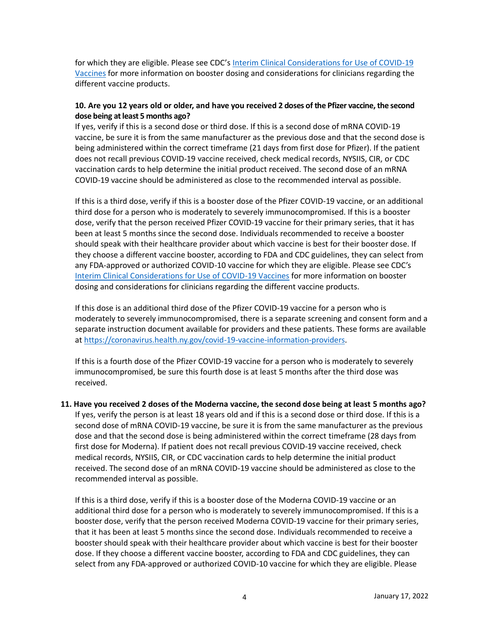for which they are eligible. Please see CDC's [Interim Clinical Considerations for Use of COVID-19](https://www.cdc.gov/vaccines/covid-19/clinical-considerations/covid-19-vaccines-us.html)  [Vaccines](https://www.cdc.gov/vaccines/covid-19/clinical-considerations/covid-19-vaccines-us.html) for more information on booster dosing and considerations for clinicians regarding the different vaccine products.

### **10. Are you 12 years old or older, and have you received 2 doses of the Pfizer vaccine, the second dose being at least 5 months ago?**

If yes, verify if this is a second dose or third dose. If this is a second dose of mRNA COVID-19 vaccine, be sure it is from the same manufacturer as the previous dose and that the second dose is being administered within the correct timeframe (21 days from first dose for Pfizer). If the patient does not recall previous COVID-19 vaccine received, check medical records, NYSIIS, CIR, or CDC vaccination cards to help determine the initial product received. The second dose of an mRNA COVID-19 vaccine should be administered as close to the recommended interval as possible.

If this is a third dose, verify if this is a booster dose of the Pfizer COVID-19 vaccine, or an additional third dose for a person who is moderately to severely immunocompromised. If this is a booster dose, verify that the person received Pfizer COVID-19 vaccine for their primary series, that it has been at least 5 months since the second dose. Individuals recommended to receive a booster should speak with their healthcare provider about which vaccine is best for their booster dose. If they choose a different vaccine booster, according to FDA and CDC guidelines, they can select from any FDA-approved or authorized COVID-10 vaccine for which they are eligible. Please see CDC's [Interim Clinical Considerations for Use of COVID-19 Vaccines](https://www.cdc.gov/vaccines/covid-19/clinical-considerations/covid-19-vaccines-us.html) for more information on booster dosing and considerations for clinicians regarding the different vaccine products.

If this dose is an additional third dose of the Pfizer COVID-19 vaccine for a person who is moderately to severely immunocompromised, there is a separate screening and consent form and a separate instruction document available for providers and these patients. These forms are available at [https://coronavirus.health.ny.gov/covid-19-vaccine-information-providers.](https://coronavirus.health.ny.gov/covid-19-vaccine-information-providers)

If this is a fourth dose of the Pfizer COVID-19 vaccine for a person who is moderately to severely immunocompromised, be sure this fourth dose is at least 5 months after the third dose was received.

**11. Have you received 2 doses of the Moderna vaccine, the second dose being at least 5 months ago?**  If yes, verify the person is at least 18 years old and if this is a second dose or third dose. If this is a second dose of mRNA COVID-19 vaccine, be sure it is from the same manufacturer as the previous dose and that the second dose is being administered within the correct timeframe (28 days from first dose for Moderna). If patient does not recall previous COVID-19 vaccine received, check medical records, NYSIIS, CIR, or CDC vaccination cards to help determine the initial product received. The second dose of an mRNA COVID-19 vaccine should be administered as close to the recommended interval as possible.

If this is a third dose, verify if this is a booster dose of the Moderna COVID-19 vaccine or an additional third dose for a person who is moderately to severely immunocompromised. If this is a booster dose, verify that the person received Moderna COVID-19 vaccine for their primary series, that it has been at least 5 months since the second dose. Individuals recommended to receive a booster should speak with their healthcare provider about which vaccine is best for their booster dose. If they choose a different vaccine booster, according to FDA and CDC guidelines, they can select from any FDA-approved or authorized COVID-10 vaccine for which they are eligible. Please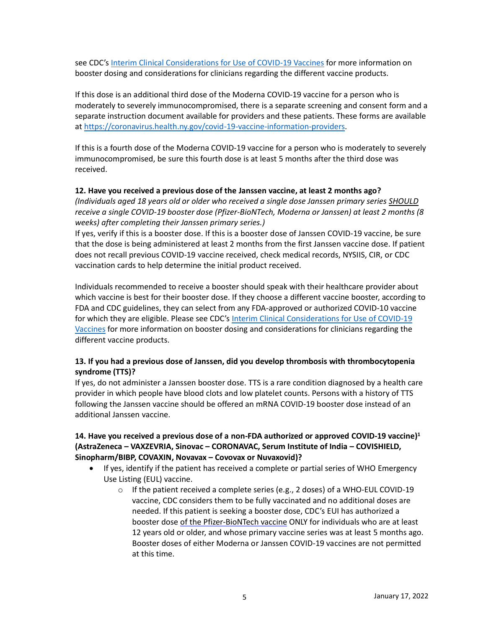see CDC's [Interim Clinical Considerations for Use of COVID-19 Vaccines](https://coronavirus.health.ny.gov/covid-19-vaccine-information-providers) for more information on booster dosing and considerations for clinicians regarding the different vaccine products.

If this dose is an additional third dose of the Moderna COVID-19 vaccine for a person who is moderately to severely immunocompromised, there is a separate screening and consent form and a separate instruction document available for providers and these patients. These forms are available at [https://coronavirus.health.ny.gov/covid-19-vaccine-information-providers.](https://coronavirus.health.ny.gov/covid-19-vaccine-information-providers)

If this is a fourth dose of the Moderna COVID-19 vaccine for a person who is moderately to severely immunocompromised, be sure this fourth dose is at least 5 months after the third dose was received.

### **12. Have you received a previous dose of the Janssen vaccine, at least 2 months ago?**

*(Individuals aged 18 years old or older who received a single dose Janssen primary series SHOULD receive a single COVID-19 booster dose (Pfizer-BioNTech, Moderna or Janssen) at least 2 months (8 weeks) after completing their Janssen primary series.)* 

If yes, verify if this is a booster dose. If this is a booster dose of Janssen COVID-19 vaccine, be sure that the dose is being administered at least 2 months from the first Janssen vaccine dose. If patient does not recall previous COVID-19 vaccine received, check medical records, NYSIIS, CIR, or CDC vaccination cards to help determine the initial product received.

Individuals recommended to receive a booster should speak with their healthcare provider about which vaccine is best for their booster dose. If they choose a different vaccine booster, according to FDA and CDC guidelines, they can select from any FDA-approved or authorized COVID-10 vaccine for which they are eligible. Please see CDC's [Interim Clinical Considerations for Use of COVID-19](https://coronavirus.health.ny.gov/covid-19-vaccine-information-providers)  [Vaccines](https://coronavirus.health.ny.gov/covid-19-vaccine-information-providers) for more information on booster dosing and considerations for clinicians regarding the different vaccine products.

# **13. If you had a previous dose of Janssen, did you develop thrombosis with thrombocytopenia syndrome (TTS)?**

If yes, do not administer a Janssen booster dose. TTS is a rare condition diagnosed by a health care provider in which people have blood clots and low platelet counts. Persons with a history of TTS following the Janssen vaccine should be offered an mRNA COVID-19 booster dose instead of an additional Janssen vaccine.

# **14. Have you received a previous dose of a non-FDA authorized or approved COVID-19 vaccine) 1 (AstraZeneca – VAXZEVRIA, Sinovac – CORONAVAC, Serum Institute of India – COVISHIELD, Sinopharm/BIBP, COVAXIN, Novavax – Covovax or Nuvaxovid)?**

- If yes, identify if the patient has received a complete or partial series of WHO Emergency Use Listing (EUL) vaccine.
	- $\circ$  If the patient received a complete series (e.g., 2 doses) of a WHO-EUL COVID-19 vaccine, CDC considers them to be fully vaccinated and no additional doses are needed. If this patient is seeking a booster dose, CDC's EUI has authorized a booster dose of the Pfizer-BioNTech vaccine ONLY for individuals who are at least 12 years old or older, and whose primary vaccine series was at least 5 months ago. Booster doses of either Moderna or Janssen COVID-19 vaccines are not permitted at this time.